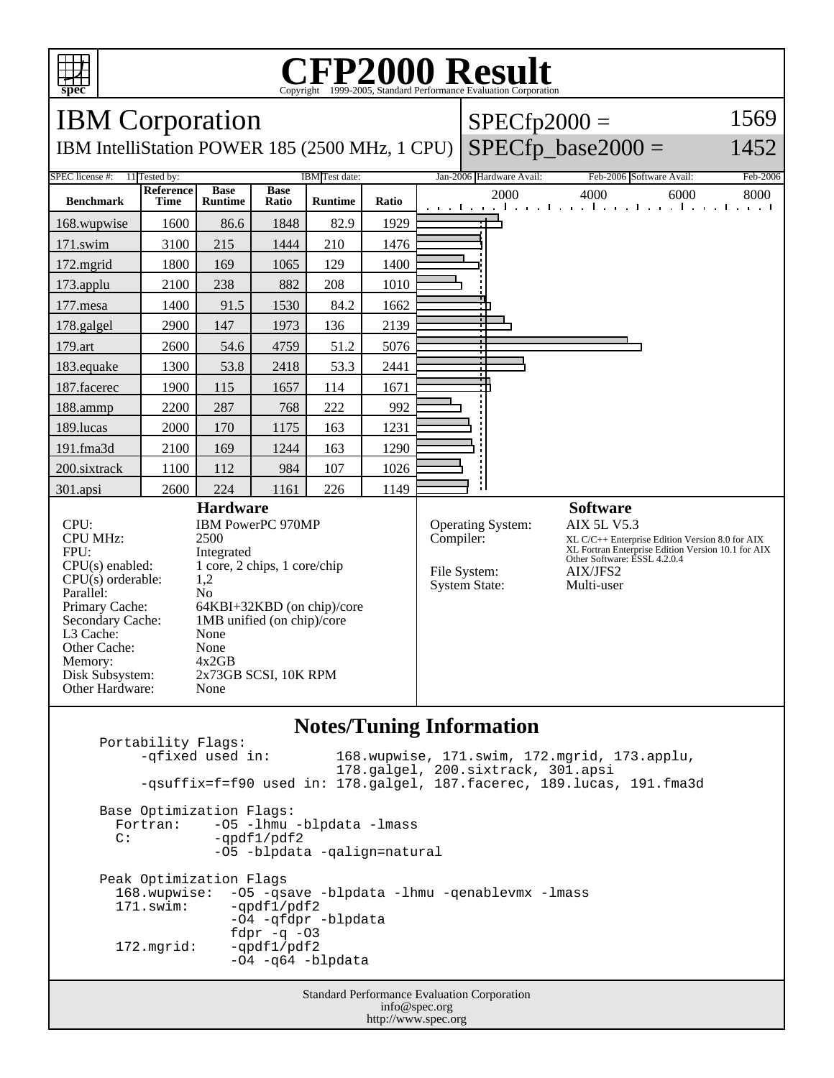

## **CFP2000 Result** Copyright  $\odot$  1999-2005, Standard I

IBM Corporation IBM IntelliStation POWER 185 (2500 MHz, 1 CPU)  $SPECfp2000 =$  $SPECfp\_base2000 =$ 1569 1452 SPEC license #: 11 Tested by: IBM Test date: Jan-2006 Hardware Avail: Feb-2006 Software Avail: Feb-2006 **Benchmark Reference Time Base Runtime Base Ratio Runtime Ratio** 2000 4000 6000 8000 168.wupwise 1600 86.6 1848 82.9 1929 171.swim | 3100 | 215 | 1444 | 210 | 1476 172.mgrid | 1800 | 169 | 1065 | 129 | 1400 173.applu | 2100 | 238 | 882 | 208 | 1010 177.mesa | 1400 | 91.5 | 1530 | 84.2 | 1662 178.galgel | 2900 | 147 | 1973 | 136 | 2139 179.art | 2600 | 54.6 | 4759 | 51.2 | 5076 183.equake 1300 53.8 2418 53.3 2441 187.facerec | 1900 | 115 | 1657 | 114 | 1671 188.ammp | 2200 | 287 | 768 | 222 | 992 189.lucas | 2000 | 170 | 1175 | 163 | 1231 191.fma3d 2100 169 1244 163 1290 200.sixtrack 1100 112 984 107 1026 301.apsi 2600 224 1161 226 1149 **Hardware** CPU: IBM PowerPC 970MP CPU MHz: 2500 FPU: Integrated CPU(s) enabled: 1 core, 2 chips, 1 core/chip  $CPU(s)$  orderable: Parallel: No<br>Primary Cache: 64F 64KBI+32KBD (on chip)/core Secondary Cache: 1MB unified (on chip)/core L3 Cache: None Other Cache: None<br>Memory: 4x2GB Memory: Disk Subsystem: 2x73GB SCSI, 10K RPM Other Hardware: None **Software** Operating System: AIX 5L V5.3 Compiler: XL C/C++ Enterprise Edition Version 8.0 for AIX XL Fortran Enterprise Edition Version 10.1 for AIX Other Software: ESSL 4.2.0.4 File System: AIX/JFS2<br>System State: Multi-user System State:

## **Notes/Tuning Information**

Standard Performance Evaluation Corporation Portability Flags:<br>-qfixed used in: 168.wupwise, 171.swim, 172.mgrid, 173.applu, 178.galgel, 200.sixtrack, 301.apsi -qsuffix=f=f90 used in: 178.galgel, 187.facerec, 189.lucas, 191.fma3d Base Optimization Flags: Fortran: -05 -lhmu -blpdata -lmass<br>C: -ordf1/pdf2 -qpdf1/pdf2 -O5 -blpdata -qalign=natural Peak Optimization Flags 168.wupwise: -O5 -qsave -blpdata -lhmu -qenablevmx -lmass  $-qpdf1/pdf2$  -O4 -qfdpr -blpdata fd $pr$  -q -03 172.mgrid: -qpdf1/pdf2 -O4 -q64 -blpdata

info@spec.org http://www.spec.org